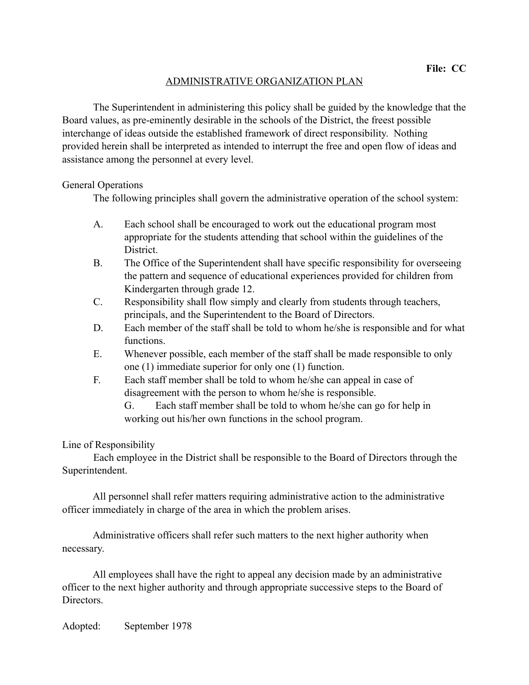## ADMINISTRATIVE ORGANIZATION PLAN

 The Superintendent in administering this policy shall be guided by the knowledge that the Board values, as pre-eminently desirable in the schools of the District, the freest possible interchange of ideas outside the established framework of direct responsibility. Nothing provided herein shall be interpreted as intended to interrupt the free and open flow of ideas and assistance among the personnel at every level.

## General Operations

The following principles shall govern the administrative operation of the school system:

- A. Each school shall be encouraged to work out the educational program most appropriate for the students attending that school within the guidelines of the District.
- B. The Office of the Superintendent shall have specific responsibility for overseeing the pattern and sequence of educational experiences provided for children from Kindergarten through grade 12.
- C. Responsibility shall flow simply and clearly from students through teachers, principals, and the Superintendent to the Board of Directors.
- D. Each member of the staff shall be told to whom he/she is responsible and for what functions.
- E. Whenever possible, each member of the staff shall be made responsible to only one (1) immediate superior for only one (1) function.
- F. Each staff member shall be told to whom he/she can appeal in case of disagreement with the person to whom he/she is responsible.

 G. Each staff member shall be told to whom he/she can go for help in working out his/her own functions in the school program.

## Line of Responsibility

 Each employee in the District shall be responsible to the Board of Directors through the Superintendent.

 All personnel shall refer matters requiring administrative action to the administrative officer immediately in charge of the area in which the problem arises.

 Administrative officers shall refer such matters to the next higher authority when necessary.

 All employees shall have the right to appeal any decision made by an administrative officer to the next higher authority and through appropriate successive steps to the Board of Directors.

Adopted: September 1978